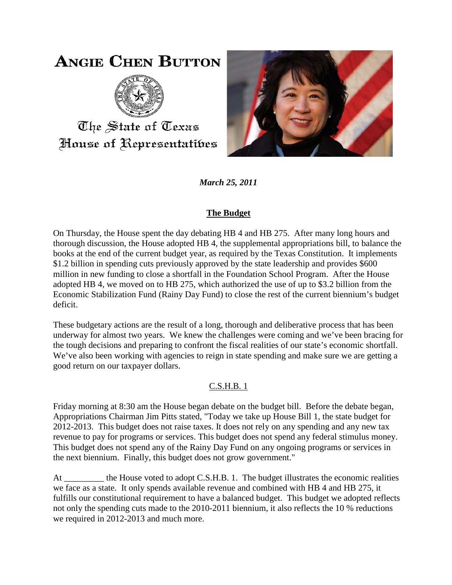## **ANGIE CHEN BUTTON**



The State of Texas House of Representatibes



*March 25, 2011*

## **The Budget**

On Thursday, the House spent the day debating HB 4 and HB 275. After many long hours and thorough discussion, the House adopted HB 4, the supplemental appropriations bill, to balance the books at the end of the current budget year, as required by the Texas Constitution. It implements \$1.2 billion in spending cuts previously approved by the state leadership and provides \$600 million in new funding to close a shortfall in the Foundation School Program. After the House adopted HB 4, we moved on to HB 275, which authorized the use of up to \$3.2 billion from the Economic Stabilization Fund (Rainy Day Fund) to close the rest of the current biennium's budget deficit.

These budgetary actions are the result of a long, thorough and deliberative process that has been underway for almost two years. We knew the challenges were coming and we've been bracing for the tough decisions and preparing to confront the fiscal realities of our state's economic shortfall. We've also been working with agencies to reign in state spending and make sure we are getting a good return on our taxpayer dollars.

## C.S.H.B. 1

Friday morning at 8:30 am the House began debate on the budget bill. Before the debate began, Appropriations Chairman Jim Pitts stated, "Today we take up House Bill 1, the state budget for 2012-2013. This budget does not raise taxes. It does not rely on any spending and any new tax revenue to pay for programs or services. This budget does not spend any federal stimulus money. This budget does not spend any of the Rainy Day Fund on any ongoing programs or services in the next biennium. Finally, this budget does not grow government."

At \_\_\_\_\_\_\_\_\_ the House voted to adopt C.S.H.B. 1. The budget illustrates the economic realities we face as a state. It only spends available revenue and combined with HB 4 and HB 275, it fulfills our constitutional requirement to have a balanced budget. This budget we adopted reflects not only the spending cuts made to the 2010-2011 biennium, it also reflects the 10 % reductions we required in 2012-2013 and much more.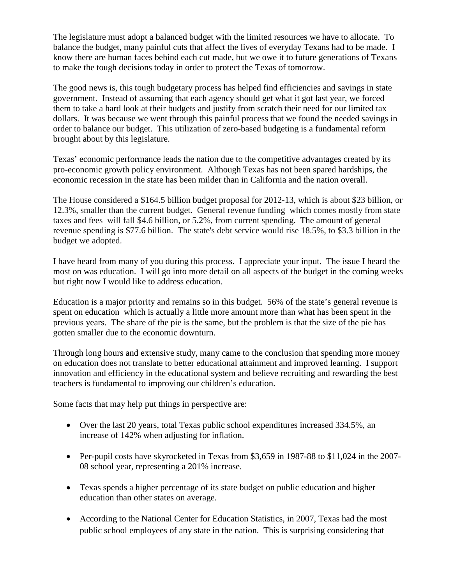The legislature must adopt a balanced budget with the limited resources we have to allocate. To balance the budget, many painful cuts that affect the lives of everyday Texans had to be made. I know there are human faces behind each cut made, but we owe it to future generations of Texans to make the tough decisions today in order to protect the Texas of tomorrow.

The good news is, this tough budgetary process has helped find efficiencies and savings in state government. Instead of assuming that each agency should get what it got last year, we forced them to take a hard look at their budgets and justify from scratch their need for our limited tax dollars. It was because we went through this painful process that we found the needed savings in order to balance our budget. This utilization of zero-based budgeting is a fundamental reform brought about by this legislature.

Texas' economic performance leads the nation due to the competitive advantages created by its pro-economic growth policy environment. Although Texas has not been spared hardships, the economic recession in the state has been milder than in California and the nation overall.

The House considered a \$164.5 billion budget proposal for 2012-13, which is about \$23 billion, or 12.3%, smaller than the current budget. General revenue funding which comes mostly from state taxes and fees will fall \$4.6 billion, or 5.2%, from current spending. The amount of general revenue spending is \$77.6 billion. The state's debt service would rise 18.5%, to \$3.3 billion in the budget we adopted.

I have heard from many of you during this process. I appreciate your input. The issue I heard the most on was education. I will go into more detail on all aspects of the budget in the coming weeks but right now I would like to address education.

Education is a major priority and remains so in this budget. 56% of the state's general revenue is spent on education which is actually a little more amount more than what has been spent in the previous years. The share of the pie is the same, but the problem is that the size of the pie has gotten smaller due to the economic downturn.

Through long hours and extensive study, many came to the conclusion that spending more money on education does not translate to better educational attainment and improved learning. I support innovation and efficiency in the educational system and believe recruiting and rewarding the best teachers is fundamental to improving our children's education.

Some facts that may help put things in perspective are:

- Over the last 20 years, total Texas public school expenditures increased 334.5%, an increase of 142% when adjusting for inflation.
- Per-pupil costs have skyrocketed in Texas from \$3,659 in 1987-88 to \$11,024 in the 2007- 08 school year, representing a 201% increase.
- Texas spends a higher percentage of its state budget on public education and higher education than other states on average.
- According to the National Center for Education Statistics, in 2007, Texas had the most public school employees of any state in the nation. This is surprising considering that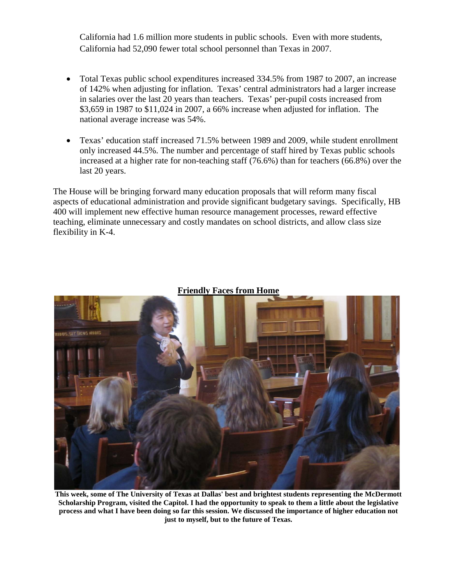California had 1.6 million more students in public schools. Even with more students, California had 52,090 fewer total school personnel than Texas in 2007.

- Total Texas public school expenditures increased 334.5% from 1987 to 2007, an increase of 142% when adjusting for inflation. Texas' central administrators had a larger increase in salaries over the last 20 years than teachers. Texas' per-pupil costs increased from \$3,659 in 1987 to \$11,024 in 2007, a 66% increase when adjusted for inflation. The national average increase was 54%.
- Texas' education staff increased 71.5% between 1989 and 2009, while student enrollment only increased 44.5%. The number and percentage of staff hired by Texas public schools increased at a higher rate for non-teaching staff (76.6%) than for teachers (66.8%) over the last 20 years.

The House will be bringing forward many education proposals that will reform many fiscal aspects of educational administration and provide significant budgetary savings. Specifically, HB 400 will implement new effective human resource management processes, reward effective teaching, eliminate unnecessary and costly mandates on school districts, and allow class size flexibility in K-4.



**Friendly Faces from Home**

**This week, some of The University of Texas at Dallas' best and brightest students representing the McDermott Scholarship Program, visited the Capitol. I had the opportunity to speak to them a little about the legislative process and what I have been doing so far this session. We discussed the importance of higher education not just to myself, but to the future of Texas.**